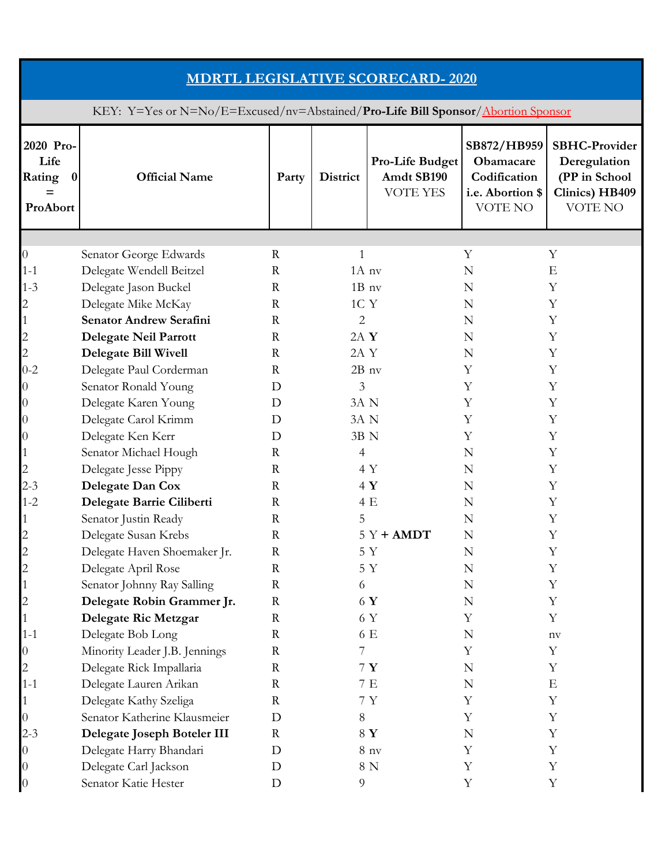| <b>MDRTL LEGISLATIVE SCORECARD-2020</b>                                          |                                |              |                 |                                           |                                                                         |                                                                                           |  |  |  |
|----------------------------------------------------------------------------------|--------------------------------|--------------|-----------------|-------------------------------------------|-------------------------------------------------------------------------|-------------------------------------------------------------------------------------------|--|--|--|
| KEY: Y=Yes or N=No/E=Excused/nv=Abstained/Pro-Life Bill Sponsor/Abortion Sponsor |                                |              |                 |                                           |                                                                         |                                                                                           |  |  |  |
| 2020 Pro-<br>Life<br>Rating<br>$\bf{0}$<br>ProAbort                              | <b>Official Name</b>           | Party        | <b>District</b> | Pro-Life Budget<br>Amdt SB190<br>VOTE YES | SB872/HB959<br>Obamacare<br>Codification<br>i.e. Abortion \$<br>VOTE NO | <b>SBHC-Provider</b><br>Deregulation<br>(PP in School<br>Clinics) HB409<br><b>VOTE NO</b> |  |  |  |
|                                                                                  |                                |              |                 |                                           |                                                                         |                                                                                           |  |  |  |
| 0                                                                                | Senator George Edwards         | $\mathbf R$  | 1               |                                           | Y                                                                       | Y                                                                                         |  |  |  |
| $1 - 1$                                                                          | Delegate Wendell Beitzel       | $\mathbf R$  | $1A$ nv         |                                           | $\mathbf N$                                                             | E                                                                                         |  |  |  |
| $1 - 3$                                                                          | Delegate Jason Buckel          | $\mathbb{R}$ | $1B_1$ nv       |                                           | N                                                                       | Y                                                                                         |  |  |  |
| 2                                                                                | Delegate Mike McKay            | $\mathbb{R}$ | 1C Y            |                                           | N                                                                       | Υ                                                                                         |  |  |  |
| $\mathbf{1}$                                                                     | <b>Senator Andrew Serafini</b> | $\mathbb{R}$ | $\overline{2}$  |                                           | N                                                                       | Y                                                                                         |  |  |  |
| $\overline{c}$                                                                   | Delegate Neil Parrott          | $\mathbb{R}$ | $2A$ Y          |                                           | N                                                                       | Y                                                                                         |  |  |  |
| $\mathbf{2}$                                                                     | <b>Delegate Bill Wivell</b>    | $\mathbf R$  | 2A Y            |                                           | N                                                                       | Y                                                                                         |  |  |  |
| $0 - 2$                                                                          | Delegate Paul Corderman        | $\mathbb{R}$ | $2B$ nv         |                                           | Y                                                                       | Υ                                                                                         |  |  |  |
| 0                                                                                | Senator Ronald Young           | D            | 3               |                                           | Y                                                                       | Y                                                                                         |  |  |  |
| 0                                                                                | Delegate Karen Young           | D            | 3A N            |                                           | Y                                                                       | Y                                                                                         |  |  |  |
| $\theta$                                                                         | Delegate Carol Krimm           | D            | 3A N            |                                           | Y                                                                       | Υ                                                                                         |  |  |  |
| $\theta$                                                                         | Delegate Ken Kerr              | D            | 3B N            |                                           | Y                                                                       | Y                                                                                         |  |  |  |
| 1                                                                                | Senator Michael Hough          | $\mathbf R$  | 4               |                                           | N                                                                       | Y                                                                                         |  |  |  |
| 2                                                                                | Delegate Jesse Pippy           | $\mathbb{R}$ |                 | 4 Y                                       | N                                                                       | Υ                                                                                         |  |  |  |
| $2 - 3$                                                                          | Delegate Dan Cox               | $\mathbf R$  |                 | 4Y                                        | N                                                                       | Y                                                                                         |  |  |  |
| $1 - 2$                                                                          | Delegate Barrie Ciliberti      | $\mathbb{R}$ |                 | 4 E                                       | N                                                                       | Υ                                                                                         |  |  |  |
|                                                                                  | Senator Justin Ready           | $\mathbf R$  | 5               |                                           | N                                                                       | Y                                                                                         |  |  |  |
|                                                                                  | Delegate Susan Krebs           | R            |                 | 5 Y <b>+ AMDT</b>                         | N                                                                       | Υ                                                                                         |  |  |  |
| $\overline{c}$                                                                   | Delegate Haven Shoemaker Jr.   | $\mathbf R$  |                 | 5 Y                                       | N                                                                       | Υ                                                                                         |  |  |  |
| $\overline{c}$                                                                   | Delegate April Rose            | $\mathbf R$  |                 | 5 Y                                       | N                                                                       | Υ                                                                                         |  |  |  |
| 1                                                                                | Senator Johnny Ray Salling     | $\mathbf R$  | 6               |                                           | N                                                                       | Υ                                                                                         |  |  |  |
| $\overline{c}$                                                                   | Delegate Robin Grammer Jr.     | $\mathbf R$  |                 | 6 Y                                       | N                                                                       | Y                                                                                         |  |  |  |
|                                                                                  | Delegate Ric Metzgar           | $\mathbf R$  |                 | 6 Y                                       | Υ                                                                       | Y                                                                                         |  |  |  |
| $1 - 1$                                                                          | Delegate Bob Long              | $\mathbf R$  |                 | 6 E                                       | N                                                                       | nv                                                                                        |  |  |  |
| 0                                                                                | Minority Leader J.B. Jennings  | $\mathbf R$  | 7               |                                           | Y                                                                       | Y                                                                                         |  |  |  |
| $\overline{c}$                                                                   | Delegate Rick Impallaria       | $\mathbf R$  |                 | 7Y                                        | N                                                                       | Y                                                                                         |  |  |  |
| $1 - 1$                                                                          | Delegate Lauren Arikan         | $\mathbf R$  |                 | 7E                                        | N                                                                       | E                                                                                         |  |  |  |
|                                                                                  | Delegate Kathy Szeliga         | $\mathbf R$  |                 | 7Y                                        | Y                                                                       | Y                                                                                         |  |  |  |
| $\overline{0}$                                                                   | Senator Katherine Klausmeier   | D            | 8               |                                           | Y                                                                       | Y                                                                                         |  |  |  |
| $2 - 3$                                                                          | Delegate Joseph Boteler III    | $\mathbf R$  |                 | 8 Y                                       | N                                                                       | Y                                                                                         |  |  |  |
| 0                                                                                | Delegate Harry Bhandari        | D            |                 | 8 <sub>ny</sub>                           | Y                                                                       | Y                                                                                         |  |  |  |
| $\boldsymbol{0}$                                                                 | Delegate Carl Jackson          | D            |                 | 8 N                                       | Y                                                                       | Y                                                                                         |  |  |  |
| $\boldsymbol{0}$                                                                 | Senator Katie Hester           | $\mathbf D$  | 9               |                                           | Y                                                                       | Y                                                                                         |  |  |  |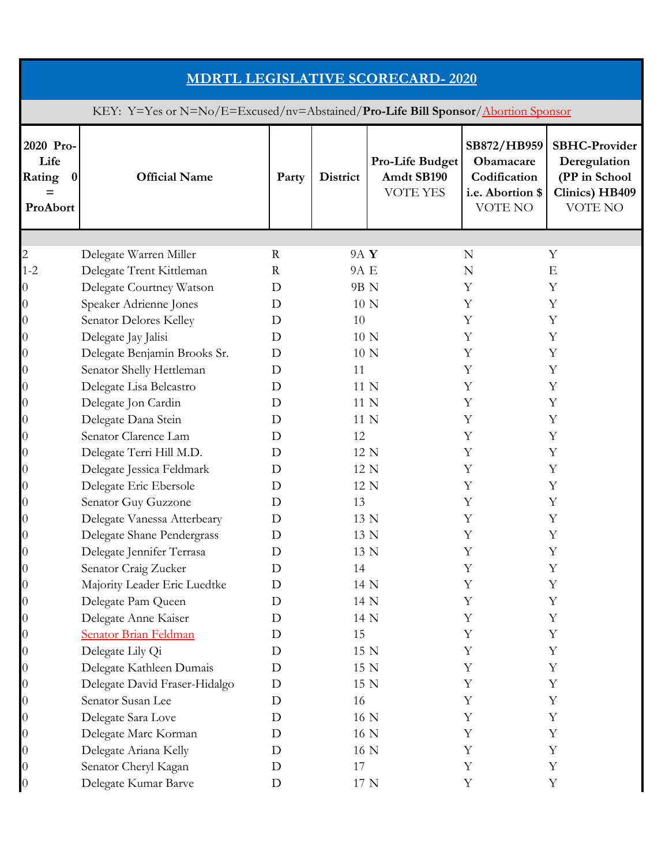| <b>MDRTL LEGISLATIVE SCORECARD-2020</b>                                          |                               |             |                 |                                                  |                                                                         |                                                                                    |  |  |
|----------------------------------------------------------------------------------|-------------------------------|-------------|-----------------|--------------------------------------------------|-------------------------------------------------------------------------|------------------------------------------------------------------------------------|--|--|
| KEY: Y=Yes or N=No/E=Excused/nv=Abstained/Pro-Life Bill Sponsor/Abortion Sponsor |                               |             |                 |                                                  |                                                                         |                                                                                    |  |  |
| 2020 Pro-<br>Life<br>Rating<br>$\bf{0}$<br>$=$<br>ProAbort                       | <b>Official Name</b>          | Party       | <b>District</b> | Pro-Life Budget<br>Amdt SB190<br><b>VOTE YES</b> | SB872/HB959<br>Obamacare<br>Codification<br>i.e. Abortion \$<br>VOTE NO | <b>SBHC-Provider</b><br>Deregulation<br>(PP in School<br>Clinics) HB409<br>VOTE NO |  |  |
|                                                                                  |                               |             |                 |                                                  |                                                                         |                                                                                    |  |  |
| 2                                                                                | Delegate Warren Miller        | $\mathbf R$ | 9A Y            |                                                  | N                                                                       | Y                                                                                  |  |  |
| $1 - 2$                                                                          | Delegate Trent Kittleman      | $\mathbf R$ | 9A E            |                                                  | N                                                                       | $\mathbf E$                                                                        |  |  |
| 0                                                                                | Delegate Courtney Watson      | D           | 9B N            |                                                  | Υ                                                                       | Y                                                                                  |  |  |
| 0                                                                                | Speaker Adrienne Jones        | D           | 10 N            |                                                  | Υ                                                                       | Y                                                                                  |  |  |
| $\rm 0$                                                                          | Senator Delores Kelley        | D           | 10              |                                                  | Y                                                                       | Y                                                                                  |  |  |
| 0                                                                                | Delegate Jay Jalisi           | D           | 10 N            |                                                  | Y                                                                       | Y                                                                                  |  |  |
| 0                                                                                | Delegate Benjamin Brooks Sr.  | D           | 10 N            |                                                  | Y                                                                       | Y                                                                                  |  |  |
| 0                                                                                | Senator Shelly Hettleman      | D           | 11              |                                                  | Υ                                                                       | Y                                                                                  |  |  |
| 0                                                                                | Delegate Lisa Belcastro       | D           | 11 N            |                                                  | Y                                                                       | Y                                                                                  |  |  |
| 0                                                                                | Delegate Jon Cardin           | D           | 11 N            |                                                  | Y                                                                       | Y                                                                                  |  |  |
| 0                                                                                | Delegate Dana Stein           | D           | 11 N            |                                                  | Y                                                                       | Y                                                                                  |  |  |
| 0                                                                                | Senator Clarence Lam          | D           | 12              |                                                  | Y                                                                       | Y                                                                                  |  |  |
| 0                                                                                | Delegate Terri Hill M.D.      | D           | 12 N            |                                                  | Y                                                                       | Y                                                                                  |  |  |
| 0                                                                                | Delegate Jessica Feldmark     | D           | 12 N            |                                                  | Y                                                                       | Y                                                                                  |  |  |
| $\rm 0$                                                                          | Delegate Eric Ebersole        | D           | 12 N            |                                                  | Y                                                                       | Y                                                                                  |  |  |
| 0                                                                                | Senator Guy Guzzone           | D           | 13              |                                                  | Y                                                                       | Y                                                                                  |  |  |
| 0                                                                                | Delegate Vanessa Atterbeary   | D           | 13 N            |                                                  | Y                                                                       | $\mathbf Y$                                                                        |  |  |
| 0                                                                                | Delegate Shane Pendergrass    | D           | 13 N            |                                                  | Υ                                                                       | Υ                                                                                  |  |  |
| 0                                                                                | Delegate Jennifer Terrasa     | D           | 13 N            |                                                  | Y                                                                       | Y                                                                                  |  |  |
| $\boldsymbol{0}$                                                                 | Senator Craig Zucker          | D           | 14              |                                                  | Y                                                                       | Y                                                                                  |  |  |
| 0                                                                                | Majority Leader Eric Luedtke  | D           | 14 N            |                                                  | Y                                                                       | Y                                                                                  |  |  |
| $\overline{0}$                                                                   | Delegate Pam Queen            | D           | 14 N            |                                                  | Y                                                                       | Y                                                                                  |  |  |
| 0                                                                                | Delegate Anne Kaiser          | D           | 14 N            |                                                  | Υ                                                                       | Y                                                                                  |  |  |
| $\boldsymbol{0}$                                                                 | Senator Brian Feldman         | D           | 15              |                                                  | Y                                                                       | Y                                                                                  |  |  |
| $\rm 0$                                                                          | Delegate Lily Qi              | D           | 15 N            |                                                  | Y                                                                       | Y                                                                                  |  |  |
| 0                                                                                | Delegate Kathleen Dumais      | D           | 15 N            |                                                  | Y                                                                       | Y                                                                                  |  |  |
| $\overline{0}$                                                                   | Delegate David Fraser-Hidalgo | D           | 15 N            |                                                  | Y                                                                       | $\mathbf Y$                                                                        |  |  |
| $\rm 0$                                                                          | Senator Susan Lee             | D           | 16              |                                                  | Y                                                                       | Y                                                                                  |  |  |
| 0                                                                                | Delegate Sara Love            | D           | 16 N            |                                                  | Y                                                                       | Y                                                                                  |  |  |
| $\rm 0$                                                                          | Delegate Marc Korman          | D           | 16 N            |                                                  | Y                                                                       | Y                                                                                  |  |  |
| 0                                                                                | Delegate Ariana Kelly         | D           | 16 N            |                                                  | Y                                                                       | Y                                                                                  |  |  |
| $\rm 0$                                                                          | Senator Cheryl Kagan          | D           | 17              |                                                  | Y                                                                       | $\mathbf Y$                                                                        |  |  |
| 0                                                                                | Delegate Kumar Barve          | D           | 17 N            |                                                  | Y                                                                       | Y                                                                                  |  |  |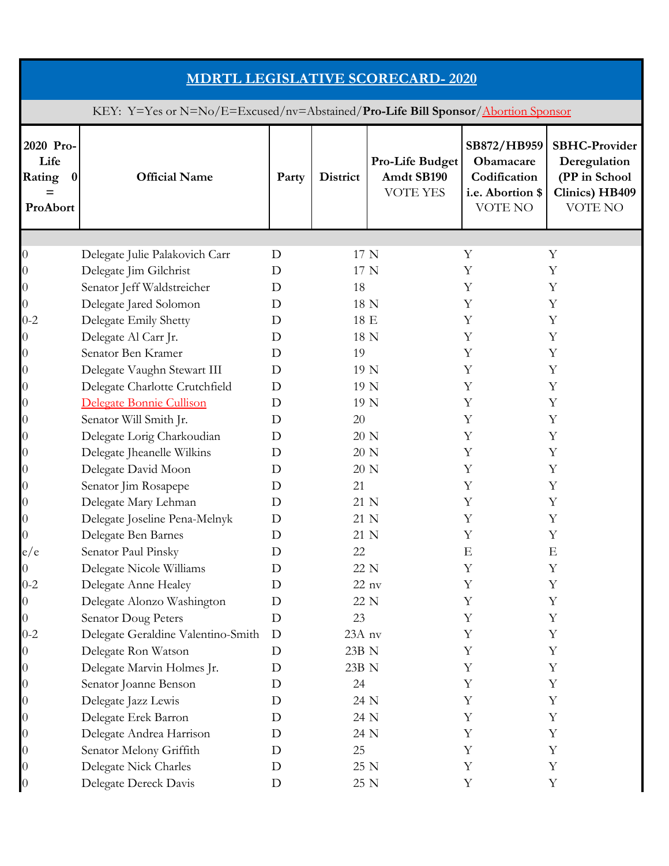| <b>MDRTL LEGISLATIVE SCORECARD-2020</b>                                          |                                    |             |          |                                                  |                                                                         |                                                                                    |  |  |
|----------------------------------------------------------------------------------|------------------------------------|-------------|----------|--------------------------------------------------|-------------------------------------------------------------------------|------------------------------------------------------------------------------------|--|--|
| KEY: Y=Yes or N=No/E=Excused/nv=Abstained/Pro-Life Bill Sponsor/Abortion Sponsor |                                    |             |          |                                                  |                                                                         |                                                                                    |  |  |
| 2020 Pro-<br>Life<br>Rating<br>$\bf{0}$<br>$=$<br>ProAbort                       | <b>Official Name</b>               | Party       | District | Pro-Life Budget<br>Amdt SB190<br><b>VOTE YES</b> | SB872/HB959<br>Obamacare<br>Codification<br>i.e. Abortion \$<br>VOTE NO | <b>SBHC-Provider</b><br>Deregulation<br>(PP in School<br>Clinics) HB409<br>VOTE NO |  |  |
|                                                                                  |                                    |             |          |                                                  |                                                                         |                                                                                    |  |  |
| 0                                                                                | Delegate Julie Palakovich Carr     | D           | 17 N     |                                                  | Y                                                                       | Y                                                                                  |  |  |
| 0                                                                                | Delegate Jim Gilchrist             | D           | 17 N     |                                                  | Y                                                                       | Y                                                                                  |  |  |
| 0                                                                                | Senator Jeff Waldstreicher         | D           | 18       |                                                  | Y                                                                       | Y                                                                                  |  |  |
| 0                                                                                | Delegate Jared Solomon             | D           | 18 N     |                                                  | Y                                                                       | Y                                                                                  |  |  |
| $0 - 2$                                                                          | Delegate Emily Shetty              | D           | 18 E     |                                                  | Υ                                                                       | Y                                                                                  |  |  |
| 0                                                                                | Delegate Al Carr Jr.               | D           | 18 N     |                                                  | Y                                                                       | Y                                                                                  |  |  |
| $\theta$                                                                         | Senator Ben Kramer                 | D           | 19       |                                                  | Y                                                                       | Y                                                                                  |  |  |
| $\theta$                                                                         | Delegate Vaughn Stewart III        | D           | 19 N     |                                                  | Y                                                                       | Y                                                                                  |  |  |
| $\theta$                                                                         | Delegate Charlotte Crutchfield     | D           | 19 N     |                                                  | Y                                                                       | Y                                                                                  |  |  |
| $\theta$                                                                         | Delegate Bonnie Cullison           | D           | 19 N     |                                                  | Y                                                                       | Y                                                                                  |  |  |
| 0                                                                                | Senator Will Smith Jr.             | D           | 20       |                                                  | Y                                                                       | Y                                                                                  |  |  |
| 0                                                                                | Delegate Lorig Charkoudian         | D           | 20 N     |                                                  | Y                                                                       | Y                                                                                  |  |  |
| 0                                                                                | Delegate Jheanelle Wilkins         | D           | 20 N     |                                                  | Y                                                                       | Y                                                                                  |  |  |
| $\theta$                                                                         | Delegate David Moon                | D           | 20 N     |                                                  | Υ                                                                       | Y                                                                                  |  |  |
| 0                                                                                | Senator Jim Rosapepe               | D           | 21       |                                                  | Υ                                                                       | Υ                                                                                  |  |  |
| 0                                                                                | Delegate Mary Lehman               | D           | 21 N     |                                                  | Y                                                                       | Υ                                                                                  |  |  |
| 0                                                                                | Delegate Joseline Pena-Melnyk      | D           | 21 N     |                                                  | Y                                                                       | Y                                                                                  |  |  |
| 0                                                                                | Delegate Ben Barnes                | D           | 21 N     |                                                  | Υ                                                                       | Υ                                                                                  |  |  |
| e/e                                                                              | Senator Paul Pinsky                | D           | 22       |                                                  | E                                                                       | E                                                                                  |  |  |
| O.                                                                               | Delegate Nicole Williams           | D           | 22 N     |                                                  | Υ                                                                       | Υ                                                                                  |  |  |
| $0 - 2$                                                                          | Delegate Anne Healey               | D           |          | $22$ nv                                          | Υ                                                                       | Υ                                                                                  |  |  |
| 0                                                                                | Delegate Alonzo Washington         | D           | 22 N     |                                                  | Y                                                                       | Y                                                                                  |  |  |
| 0                                                                                | Senator Doug Peters                | D           | 23       |                                                  | Υ                                                                       | Υ                                                                                  |  |  |
| $0 - 2$                                                                          | Delegate Geraldine Valentino-Smith | D           | 23A nv   |                                                  | Υ                                                                       | Y                                                                                  |  |  |
| 0                                                                                | Delegate Ron Watson                | D           | 23B N    |                                                  | Υ                                                                       | Y                                                                                  |  |  |
| $\theta$                                                                         | Delegate Marvin Holmes Jr.         | D           | 23B N    |                                                  | Υ                                                                       | Υ                                                                                  |  |  |
| $\boldsymbol{0}$                                                                 | Senator Joanne Benson              | D           | 24       |                                                  | Υ                                                                       | Y                                                                                  |  |  |
| $\theta$                                                                         | Delegate Jazz Lewis                | D           | 24 N     |                                                  | Y                                                                       | Y                                                                                  |  |  |
| $\theta$                                                                         | Delegate Erek Barron               | D           | 24 N     |                                                  | Υ                                                                       | Υ                                                                                  |  |  |
| $\theta$                                                                         | Delegate Andrea Harrison           | D           | 24 N     |                                                  | Υ                                                                       | Υ                                                                                  |  |  |
| $\theta$                                                                         | Senator Melony Griffith            | D           | 25       |                                                  | Υ                                                                       | Y                                                                                  |  |  |
| 0                                                                                | Delegate Nick Charles              | D           | 25 N     |                                                  | Y                                                                       | Y                                                                                  |  |  |
| $\boldsymbol{0}$                                                                 | Delegate Dereck Davis              | $\mathbf D$ | 25 N     |                                                  | Y                                                                       | $\mathbf Y$                                                                        |  |  |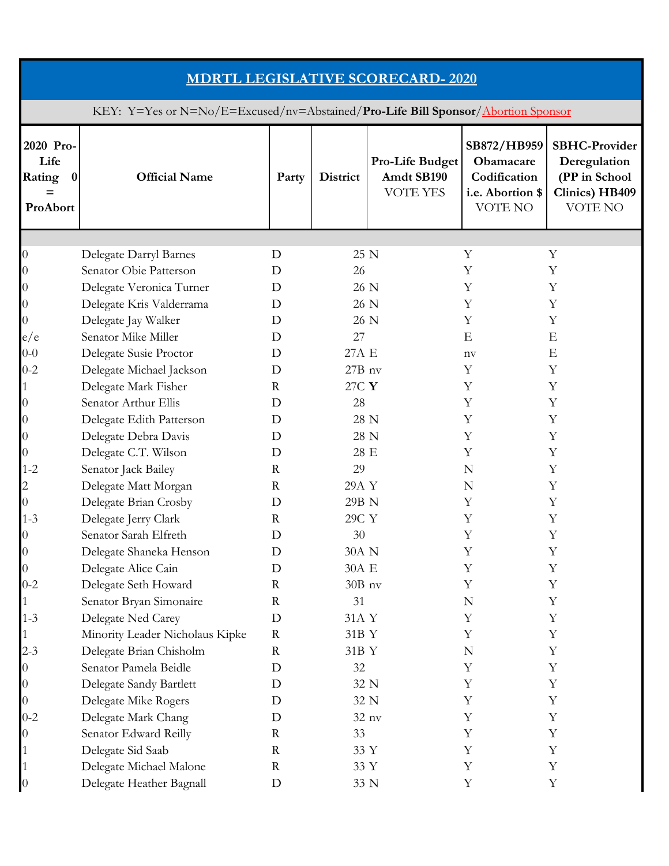| <b>MDRTL LEGISLATIVE SCORECARD-2020</b>                                          |                                 |              |                 |                                                  |                                                                         |                                                                                           |  |  |  |
|----------------------------------------------------------------------------------|---------------------------------|--------------|-----------------|--------------------------------------------------|-------------------------------------------------------------------------|-------------------------------------------------------------------------------------------|--|--|--|
| KEY: Y=Yes or N=No/E=Excused/nv=Abstained/Pro-Life Bill Sponsor/Abortion Sponsor |                                 |              |                 |                                                  |                                                                         |                                                                                           |  |  |  |
| 2020 Pro-<br>Life<br>Rating<br>$\bf{0}$<br>$=$<br>ProAbort                       | <b>Official Name</b>            | Party        | <b>District</b> | Pro-Life Budget<br>Amdt SB190<br><b>VOTE YES</b> | SB872/HB959<br>Obamacare<br>Codification<br>i.e. Abortion \$<br>VOTE NO | <b>SBHC-Provider</b><br>Deregulation<br>(PP in School<br>Clinics) HB409<br><b>VOTE NO</b> |  |  |  |
|                                                                                  |                                 |              |                 |                                                  |                                                                         |                                                                                           |  |  |  |
| $\theta$                                                                         | Delegate Darryl Barnes          | D            | 25 N            |                                                  | Y                                                                       | Υ                                                                                         |  |  |  |
| $\theta$                                                                         | Senator Obie Patterson          | D            | 26              |                                                  | Y                                                                       | Y                                                                                         |  |  |  |
| $\theta$                                                                         | Delegate Veronica Turner        | D            | 26 N            |                                                  | Y                                                                       | Y                                                                                         |  |  |  |
| $\theta$                                                                         | Delegate Kris Valderrama        | D            | 26 N            |                                                  | Y                                                                       | Y                                                                                         |  |  |  |
| 0                                                                                | Delegate Jay Walker             | D            | 26 N            |                                                  | Y                                                                       | Y                                                                                         |  |  |  |
| e/e                                                                              | Senator Mike Miller             | D            | 27              |                                                  | E                                                                       | E                                                                                         |  |  |  |
| $0 - 0$                                                                          | Delegate Susie Proctor          | D            | 27A E           |                                                  | nv                                                                      | E                                                                                         |  |  |  |
| $0 - 2$                                                                          | Delegate Michael Jackson        | D            | $27B$ nv        |                                                  | Y                                                                       | Υ                                                                                         |  |  |  |
| 1                                                                                | Delegate Mark Fisher            | $\mathbb{R}$ | 27C Y           |                                                  | Y                                                                       | Y                                                                                         |  |  |  |
| $\theta$                                                                         | Senator Arthur Ellis            | D            | 28              |                                                  | Y                                                                       | Y                                                                                         |  |  |  |
| $\boldsymbol{0}$                                                                 | Delegate Edith Patterson        | D            | 28 N            |                                                  | Y                                                                       | Υ                                                                                         |  |  |  |
| $\boldsymbol{0}$                                                                 | Delegate Debra Davis            | D            | 28 N            |                                                  | Y                                                                       | Y                                                                                         |  |  |  |
| 0                                                                                | Delegate C.T. Wilson            | D            | 28 E            |                                                  | Υ                                                                       | Y                                                                                         |  |  |  |
| $1 - 2$                                                                          | Senator Jack Bailey             | $\mathbf R$  | 29              |                                                  | N                                                                       | Y                                                                                         |  |  |  |
| 2                                                                                | Delegate Matt Morgan            | $\mathbb{R}$ | 29A Y           |                                                  | N                                                                       | Y                                                                                         |  |  |  |
| 0                                                                                | Delegate Brian Crosby           | D            | 29B N           |                                                  | Y                                                                       | Y                                                                                         |  |  |  |
| $1 - 3$                                                                          | Delegate Jerry Clark            | $\mathbf R$  | 29C Y           |                                                  | Y                                                                       | Y                                                                                         |  |  |  |
| $\overline{0}$                                                                   | Senator Sarah Elfreth           | D            | 30              |                                                  | Υ                                                                       | Υ                                                                                         |  |  |  |
| $\overline{0}$                                                                   | Delegate Shaneka Henson         | D            | 30A N           |                                                  | Υ                                                                       | Υ                                                                                         |  |  |  |
| $\boldsymbol{0}$                                                                 | Delegate Alice Cain             | D            | 30A E           |                                                  | Υ                                                                       | Υ                                                                                         |  |  |  |
| $0 - 2$                                                                          | Delegate Seth Howard            | $\mathbf R$  | $30B$ nv        |                                                  | Y                                                                       | Υ                                                                                         |  |  |  |
|                                                                                  | Senator Bryan Simonaire         | $\mathbf R$  | 31              |                                                  | N                                                                       | Y                                                                                         |  |  |  |
| $1 - 3$                                                                          | Delegate Ned Carey              | D            | 31A Y           |                                                  | Υ                                                                       | Υ                                                                                         |  |  |  |
|                                                                                  | Minority Leader Nicholaus Kipke | $\mathbf R$  | 31B Y           |                                                  | Υ                                                                       | Υ                                                                                         |  |  |  |
| $2 - 3$                                                                          | Delegate Brian Chisholm         | $\mathbf R$  | 31B Y           |                                                  | N                                                                       | Υ                                                                                         |  |  |  |
| 0                                                                                | Senator Pamela Beidle           | D            | 32              |                                                  | Y                                                                       | Υ                                                                                         |  |  |  |
| $\boldsymbol{0}$                                                                 | Delegate Sandy Bartlett         | D            | 32 N            |                                                  | Y                                                                       | Y                                                                                         |  |  |  |
| 0                                                                                | Delegate Mike Rogers            | D            | 32 N            |                                                  | Y                                                                       | Υ                                                                                         |  |  |  |
| $0 - 2$                                                                          | Delegate Mark Chang             | D            |                 | 32 nv                                            | Υ                                                                       | Υ                                                                                         |  |  |  |
| 0                                                                                | Senator Edward Reilly           | $\mathbf R$  | 33              |                                                  | Υ                                                                       | Y                                                                                         |  |  |  |
|                                                                                  | Delegate Sid Saab               | $\mathbf R$  | 33 Y            |                                                  | Y                                                                       | Y                                                                                         |  |  |  |
|                                                                                  | Delegate Michael Malone         | $\mathbf R$  | 33 Y            |                                                  | Y                                                                       | Y                                                                                         |  |  |  |
|                                                                                  |                                 |              |                 |                                                  | Y                                                                       | Y                                                                                         |  |  |  |
| $\boldsymbol{0}$                                                                 | Delegate Heather Bagnall        | D            | 33 N            |                                                  |                                                                         |                                                                                           |  |  |  |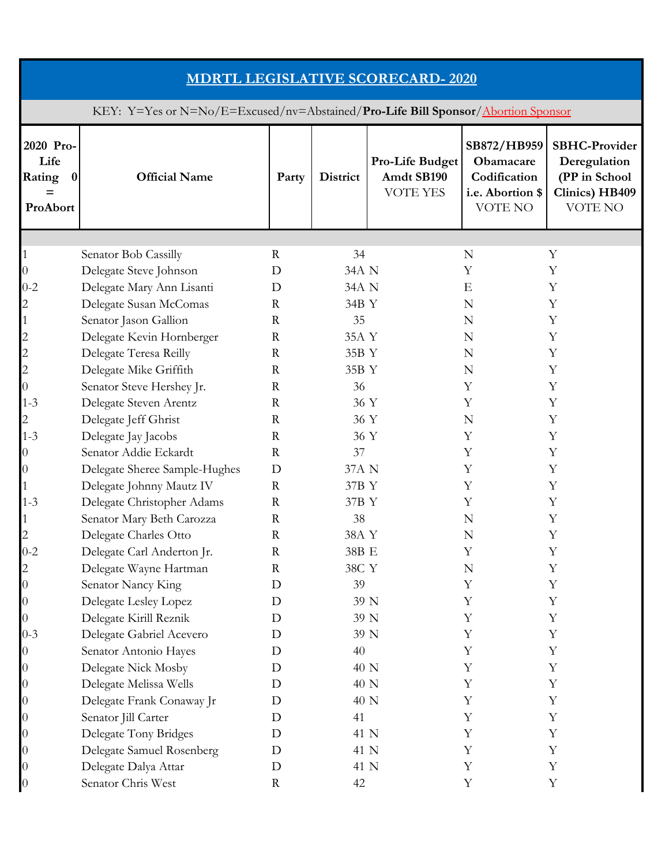| <b>MDRTL LEGISLATIVE SCORECARD-2020</b>                                          |                               |              |                 |                                                  |                                                                         |                                                                                    |  |  |  |
|----------------------------------------------------------------------------------|-------------------------------|--------------|-----------------|--------------------------------------------------|-------------------------------------------------------------------------|------------------------------------------------------------------------------------|--|--|--|
| KEY: Y=Yes or N=No/E=Excused/nv=Abstained/Pro-Life Bill Sponsor/Abortion Sponsor |                               |              |                 |                                                  |                                                                         |                                                                                    |  |  |  |
| 2020 Pro-<br>Life<br>Rating<br>$\boldsymbol{0}$<br>$=$<br>ProAbort               | <b>Official Name</b>          | Party        | <b>District</b> | Pro-Life Budget<br>Amdt SB190<br><b>VOTE YES</b> | SB872/HB959<br>Obamacare<br>Codification<br>i.e. Abortion \$<br>VOTE NO | <b>SBHC-Provider</b><br>Deregulation<br>(PP in School<br>Clinics) HB409<br>VOTE NO |  |  |  |
|                                                                                  |                               |              |                 |                                                  |                                                                         |                                                                                    |  |  |  |
| 1                                                                                | Senator Bob Cassilly          | $\mathbf R$  | 34              |                                                  | N                                                                       | Y                                                                                  |  |  |  |
| $\boldsymbol{0}$                                                                 | Delegate Steve Johnson        | D            | 34A N           |                                                  | Y                                                                       | Y                                                                                  |  |  |  |
| $0 - 2$                                                                          | Delegate Mary Ann Lisanti     | D            | 34A N           |                                                  | E                                                                       | Y                                                                                  |  |  |  |
| $\overline{c}$                                                                   | Delegate Susan McComas        | $\mathbb{R}$ | 34B Y           |                                                  | N                                                                       | Y                                                                                  |  |  |  |
| 1                                                                                | Senator Jason Gallion         | $\mathbf R$  | 35              |                                                  | N                                                                       | Y                                                                                  |  |  |  |
| $\overline{c}$                                                                   | Delegate Kevin Hornberger     | $\mathbf R$  | 35A Y           |                                                  | N                                                                       | Y                                                                                  |  |  |  |
| $\overline{c}$                                                                   | Delegate Teresa Reilly        | $\mathbb{R}$ | 35B Y           |                                                  | N                                                                       | Y                                                                                  |  |  |  |
| $\overline{c}$                                                                   | Delegate Mike Griffith        | $\mathbb{R}$ | 35B Y           |                                                  | N                                                                       | Y                                                                                  |  |  |  |
| 0                                                                                | Senator Steve Hershey Jr.     | $\mathbf R$  | 36              |                                                  | Y                                                                       | Y                                                                                  |  |  |  |
| $1 - 3$                                                                          | Delegate Steven Arentz        | $\mathbb{R}$ | 36 Y            |                                                  | Y                                                                       | Y                                                                                  |  |  |  |
| 2                                                                                | Delegate Jeff Ghrist          | $\mathbf R$  | 36 Y            |                                                  | N                                                                       | Y                                                                                  |  |  |  |
| $1 - 3$                                                                          | Delegate Jay Jacobs           | $\mathbf R$  | 36 Y            |                                                  | Y                                                                       | Y                                                                                  |  |  |  |
| 0                                                                                | Senator Addie Eckardt         | $\mathbf R$  | 37              |                                                  | Y                                                                       | Y                                                                                  |  |  |  |
| $\boldsymbol{0}$                                                                 | Delegate Sheree Sample-Hughes | D            | 37A N           |                                                  | Y                                                                       | Y                                                                                  |  |  |  |
| 1                                                                                | Delegate Johnny Mautz IV      | $\mathbf R$  | 37B Y           |                                                  | Y                                                                       | Y                                                                                  |  |  |  |
| $1 - 3$                                                                          | Delegate Christopher Adams    | $\mathbf R$  | 37B Y           |                                                  | Y                                                                       | Y                                                                                  |  |  |  |
| 1                                                                                | Senator Mary Beth Carozza     | $\mathbf R$  | 38              |                                                  | N                                                                       | Y                                                                                  |  |  |  |
| 2                                                                                | Delegate Charles Otto         | $\mathbf R$  | 38A Y           |                                                  | N                                                                       | Υ                                                                                  |  |  |  |
| $0 - 2$                                                                          | Delegate Carl Anderton Jr.    | $\mathbf R$  | 38B E           |                                                  | Y                                                                       | Y                                                                                  |  |  |  |
| $\overline{c}$                                                                   | Delegate Wayne Hartman        | R            | 38C Y           |                                                  | N                                                                       | Y                                                                                  |  |  |  |
| $\overline{0}$                                                                   | Senator Nancy King            | D            | 39              |                                                  | Y                                                                       | Y                                                                                  |  |  |  |
| $\boldsymbol{0}$                                                                 | Delegate Lesley Lopez         | D            | 39 N            |                                                  | Y                                                                       | $\mathbf Y$                                                                        |  |  |  |
| 0                                                                                | Delegate Kirill Reznik        | D            | 39 N            |                                                  | Y                                                                       | Y                                                                                  |  |  |  |
| $0 - 3$                                                                          | Delegate Gabriel Acevero      | D            | 39 N            |                                                  | Y                                                                       | $\mathbf Y$                                                                        |  |  |  |
| 0                                                                                | Senator Antonio Hayes         | D            | 40              |                                                  | Y                                                                       | $\mathbf Y$                                                                        |  |  |  |
| 0                                                                                | Delegate Nick Mosby           | D            | 40 N            |                                                  | Υ                                                                       | Y                                                                                  |  |  |  |
| $\boldsymbol{0}$                                                                 | Delegate Melissa Wells        | D            | 40 N            |                                                  | $\mathbf Y$                                                             | $\mathbf Y$                                                                        |  |  |  |
| 0                                                                                | Delegate Frank Conaway Jr     | D            | 40 N            |                                                  | Y                                                                       | $\mathbf Y$                                                                        |  |  |  |
| 0                                                                                | Senator Jill Carter           | D            | 41              |                                                  | Y                                                                       | $\mathbf Y$                                                                        |  |  |  |
| $\boldsymbol{0}$                                                                 | Delegate Tony Bridges         | D            | 41 N            |                                                  | Y                                                                       | $\mathbf Y$                                                                        |  |  |  |
| 0                                                                                | Delegate Samuel Rosenberg     | $\mathbf D$  | 41 N            |                                                  | Y                                                                       | Y                                                                                  |  |  |  |
| 0                                                                                | Delegate Dalya Attar          | D            | 41 N            |                                                  | Y                                                                       | $\mathbf Y$                                                                        |  |  |  |
| 0                                                                                | Senator Chris West            | R            | 42              |                                                  | Y                                                                       | Y                                                                                  |  |  |  |